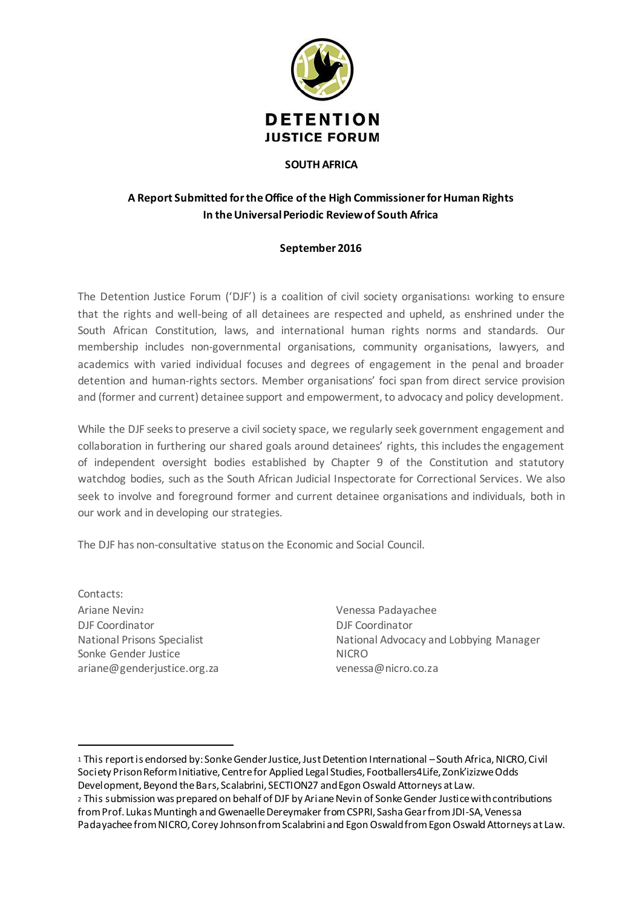

#### **SOUTH AFRICA**

# **A Report Submitted for the Office of the High Commissioner for Human Rights In the Universal Periodic Review of South Africa**

## **September 2016**

The Detention Justice Forum ('DJF') is a coalition of civil society organisations1 working to ensure that the rights and well-being of all detainees are respected and upheld, as enshrined under the South African Constitution, laws, and international human rights norms and standards. Our membership includes non-governmental organisations, community organisations, lawyers, and academics with varied individual focuses and degrees of engagement in the penal and broader detention and human-rights sectors. Member organisations' foci span from direct service provision and (former and current) detainee support and empowerment, to advocacy and policy development.

While the DJF seeks to preserve a civil society space, we regularly seek government engagement and collaboration in furthering our shared goals around detainees' rights, this includes the engagement of independent oversight bodies established by Chapter 9 of the Constitution and statutory watchdog bodies, such as the South African Judicial Inspectorate for Correctional Services. We also seek to involve and foreground former and current detainee organisations and individuals, both in our work and in developing our strategies.

The DJF has non-consultative status on the Economic and Social Council.

Contacts: Ariane Nevin<sup>2</sup> DJF Coordinator National Prisons Specialist Sonke Gender Justice ariane@genderjustice.org.za

 $\overline{a}$ 

Venessa Padayachee DJF Coordinator National Advocacy and Lobbying Manager NICRO venessa@nicro.co.za

<sup>1</sup> This report is endorsed by: Sonke Gender Justice, Just Detention International –South Africa, NICRO, Civil Society Prison Reform Initiative, Centre for Applied Legal Studies, Footballers4Life, Zonk'izizwe Odds Development, Beyond the Bars, Scalabrini, SECTION27 and Egon Oswald Attorneys at Law. <sup>2</sup> This submission was prepared on behalf of DJF by Ariane Nevin of Sonke Gender Justice with contributions from Prof. Lukas Muntingh and Gwenaelle Dereymaker from CSPRI, Sasha Gear from JDI-SA, Venessa

Padayachee from NICRO, Corey Johnson from Scalabrini and Egon Oswald from Egon Oswald Attorneys at Law.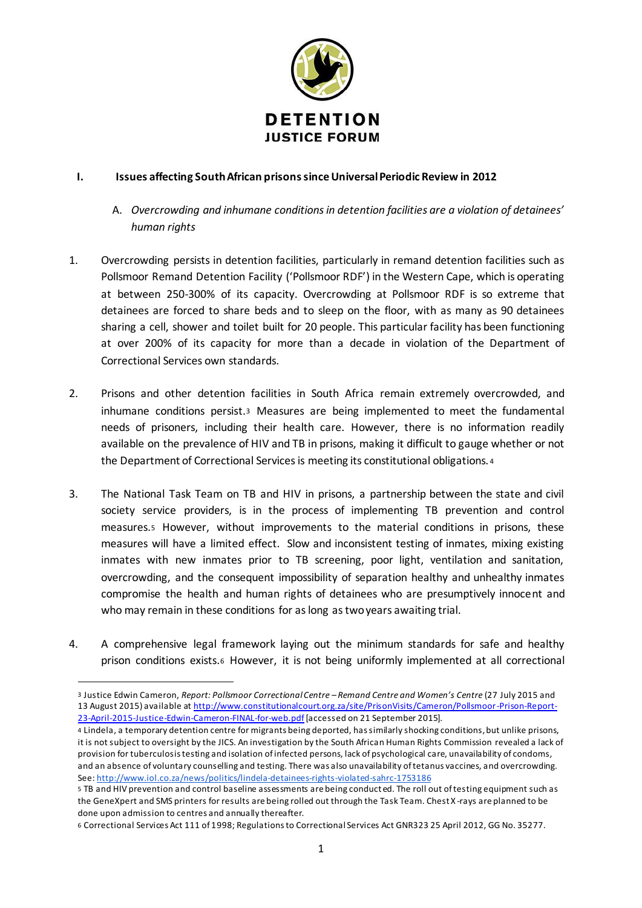

## **I. Issues affecting South African prisons since Universal Periodic Review in 2012**

- A. *Overcrowding and inhumane conditions in detention facilities are a violation of detainees' human rights*
- 1. Overcrowding persists in detention facilities, particularly in remand detention facilities such as Pollsmoor Remand Detention Facility ('Pollsmoor RDF') in the Western Cape, which is operating at between 250-300% of its capacity. Overcrowding at Pollsmoor RDF is so extreme that detainees are forced to share beds and to sleep on the floor, with as many as 90 detainees sharing a cell, shower and toilet built for 20 people. This particular facility has been functioning at over 200% of its capacity for more than a decade in violation of the Department of Correctional Services own standards.
- 2. Prisons and other detention facilities in South Africa remain extremely overcrowded, and inhumane conditions persist.<sup>3</sup> Measures are being implemented to meet the fundamental needs of prisoners, including their health care. However, there is no information readily available on the prevalence of HIV and TB in prisons, making it difficult to gauge whether or not the Department of Correctional Services is meeting its constitutional obligations. <sup>4</sup>
- 3. The National Task Team on TB and HIV in prisons, a partnership between the state and civil society service providers, is in the process of implementing TB prevention and control measures.<sup>5</sup> However, without improvements to the material conditions in prisons, these measures will have a limited effect. Slow and inconsistent testing of inmates, mixing existing inmates with new inmates prior to TB screening, poor light, ventilation and sanitation, overcrowding, and the consequent impossibility of separation healthy and unhealthy inmates compromise the health and human rights of detainees who are presumptively innocent and who may remain in these conditions for as long as two years awaiting trial.
- 4. A comprehensive legal framework laying out the minimum standards for safe and healthy prison conditions exists.<sup>6</sup> However, it is not being uniformly implemented at all correctional

 $\overline{a}$ 

<sup>3</sup> Justice Edwin Cameron, *Report: Pollsmoor Correctional Centre – Remand Centre and Women's Centre* (27 July 2015 and 13 August 2015) available at http://www.constitutionalcourt.org.za/site/PrisonVisits/Cameron/Pollsmoor-Prison-Report-23-April-2015-Justice-Edwin-Cameron-FINAL-for-web.pdf [accessed on 21 September 2015].

<sup>4</sup> Lindela, a temporary detention centre for migrants being deported, has similarly shocking conditions, but unlike prisons, it is not subject to oversight by the JICS. An investigation by the South African Human Rights Commission revealed a lack of provision for tuberculosis testing and isolation of infected persons, lack of psychological care, unavailability of condoms, and an absence of voluntary counselling and testing. There was also unavailability of tetanus vaccines, and overcrowding. See: http://www.iol.co.za/news/politics/lindela-detainees-rights-violated-sahrc-1753186

<sup>5</sup> TB and HIV prevention and control baseline assessments are being conducted. The roll out of testing equipment such as the GeneXpert and SMS printers for results are being rolled out through the Task Team. Chest X -rays are planned to be done upon admission to centres and annually thereafter.

<sup>6</sup> Correctional Services Act 111 of 1998; Regulations to Correctional Services Act GNR323 25 April 2012, GG No. 35277.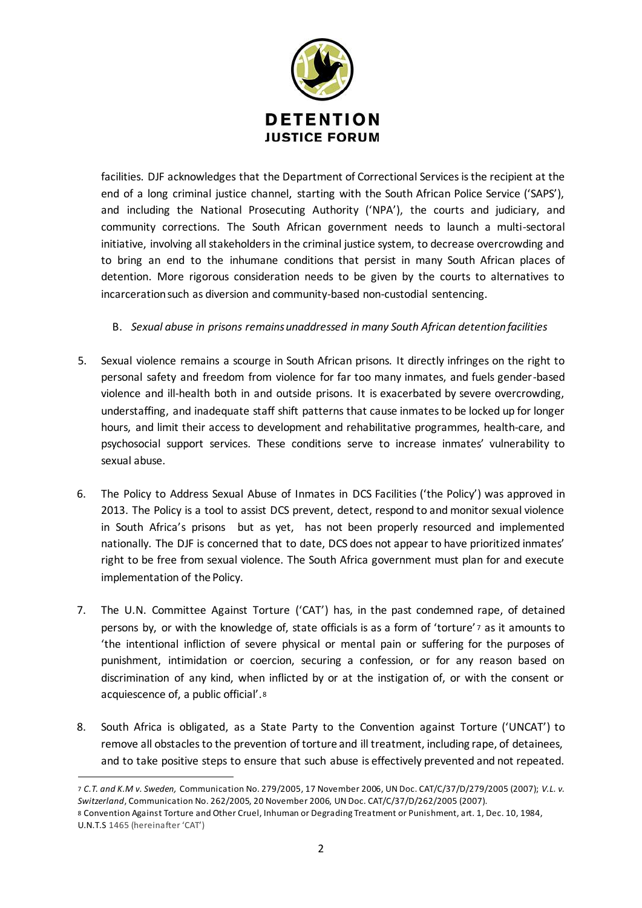

facilities. DJF acknowledges that the Department of Correctional Services is the recipient at the end of a long criminal justice channel, starting with the South African Police Service ('SAPS'), and including the National Prosecuting Authority ('NPA'), the courts and judiciary, and community corrections. The South African government needs to launch a multi-sectoral initiative, involving all stakeholders in the criminal justice system, to decrease overcrowding and to bring an end to the inhumane conditions that persist in many South African places of detention. More rigorous consideration needs to be given by the courts to alternatives to incarceration such as diversion and community-based non-custodial sentencing.

## B. *Sexual abuse in prisons remains unaddressed in many South African detention facilities*

- 5. Sexual violence remains a scourge in South African prisons. It directly infringes on the right to personal safety and freedom from violence for far too many inmates, and fuels gender-based violence and ill-health both in and outside prisons. It is exacerbated by severe overcrowding, understaffing, and inadequate staff shift patterns that cause inmates to be locked up for longer hours, and limit their access to development and rehabilitative programmes, health-care, and psychosocial support services. These conditions serve to increase inmates' vulnerability to sexual abuse.
- 6. The Policy to Address Sexual Abuse of Inmates in DCS Facilities ('the Policy') was approved in 2013. The Policy is a tool to assist DCS prevent, detect, respond to and monitor sexual violence in South Africa's prisons but as yet, has not been properly resourced and implemented nationally. The DJF is concerned that to date, DCS does not appear to have prioritized inmates' right to be free from sexual violence. The South Africa government must plan for and execute implementation of the Policy.
- 7. The U.N. Committee Against Torture ('CAT') has, in the past condemned rape, of detained persons by, or with the knowledge of, state officials is as a form of 'torture' 7 as it amounts to 'the intentional infliction of severe physical or mental pain or suffering for the purposes of punishment, intimidation or coercion, securing a confession, or for any reason based on discrimination of any kind, when inflicted by or at the instigation of, or with the consent or acquiescence of, a public official'.<sup>8</sup>
- 8. South Africa is obligated, as a State Party to the Convention against Torture ('UNCAT') to remove all obstacles to the prevention of torture and ill treatment, including rape, of detainees, and to take positive steps to ensure that such abuse is effectively prevented and not repeated.

 $\overline{a}$ 7 *C.T. and K.M v. Sweden,* Communication No. 279/2005, 17 November 2006, UN Doc. CAT/C/37/D/279/2005 (2007); *V.L. v. Switzerland*, Communication No. 262/2005, 20 November 2006, UN Doc. CAT/C/37/D/262/2005 (2007).

<sup>8</sup> Convention Against Torture and Other Cruel, Inhuman or Degrading Treatment or Punishment, art. 1, Dec. 10, 1984, U.N.T.S 1465 (hereinafter 'CAT')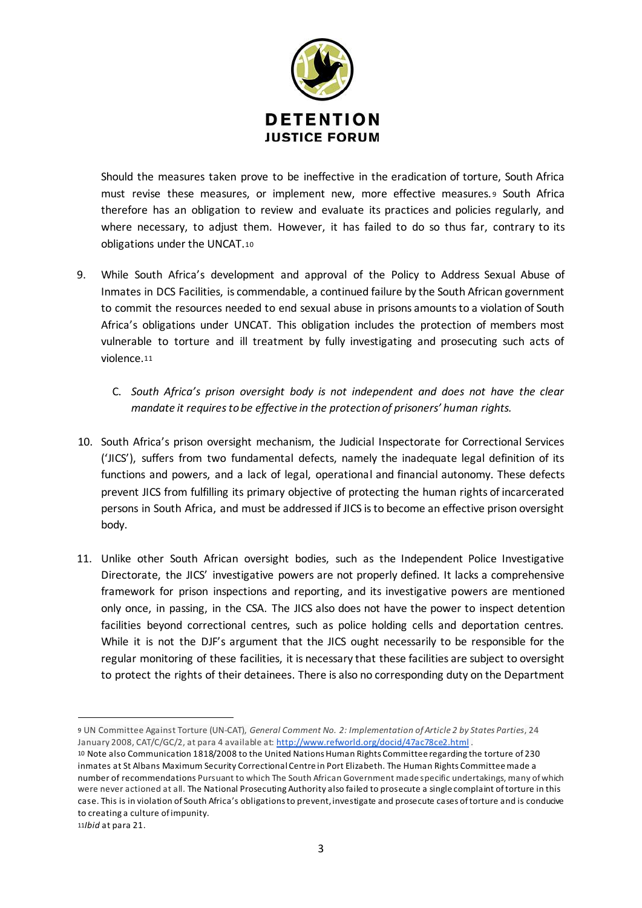

Should the measures taken prove to be ineffective in the eradication of torture, South Africa must revise these measures, or implement new, more effective measures. <sup>9</sup> South Africa therefore has an obligation to review and evaluate its practices and policies regularly, and where necessary, to adjust them. However, it has failed to do so thus far, contrary to its obligations under the UNCAT.<sup>10</sup>

- 9. While South Africa's development and approval of the Policy to Address Sexual Abuse of Inmates in DCS Facilities, is commendable, a continued failure by the South African government to commit the resources needed to end sexual abuse in prisons amounts to a violation of South Africa's obligations under UNCAT. This obligation includes the protection of members most vulnerable to torture and ill treatment by fully investigating and prosecuting such acts of violence.<sup>11</sup>
	- C. *South Africa's prison oversight body is not independent and does not have the clear mandate it requires to be effective in the protection of prisoners' human rights.*
- 10. South Africa's prison oversight mechanism, the Judicial Inspectorate for Correctional Services ('JICS'), suffers from two fundamental defects, namely the inadequate legal definition of its functions and powers, and a lack of legal, operational and financial autonomy. These defects prevent JICS from fulfilling its primary objective of protecting the human rights of incarcerated persons in South Africa, and must be addressed if JICS is to become an effective prison oversight body.
- 11. Unlike other South African oversight bodies, such as the Independent Police Investigative Directorate, the JICS' investigative powers are not properly defined. It lacks a comprehensive framework for prison inspections and reporting, and its investigative powers are mentioned only once, in passing, in the CSA. The JICS also does not have the power to inspect detention facilities beyond correctional centres, such as police holding cells and deportation centres. While it is not the DJF's argument that the JICS ought necessarily to be responsible for the regular monitoring of these facilities, it is necessary that these facilities are subject to oversight to protect the rights of their detainees. There is also no corresponding duty on the Department

 $\overline{a}$ 

<sup>9</sup> UN Committee Against Torture (UN-CAT), *General Comment No. 2: Implementation of Article 2 by States Parties*, 24 January 2008, CAT/C/GC/2, at para 4 available at: http://www.refworld.org/docid/47ac78ce2.html .

<sup>10</sup> Note also Communication 1818/2008 to the United Nations Human Rights Committee regarding the torture of 230 inmates at St Albans Maximum Security Correctional Centre in Port Elizabeth. The Human Rights Committee made a number of recommendations Pursuant to which The South African Government made specific undertakings, many of which were never actioned at all. The National Prosecuting Authority also failed to prosecute a single complaint of torture in this case. This is in violation of South Africa's obligations to prevent, investigate and prosecute cases of torture and is conducive to creating a culture of impunity.